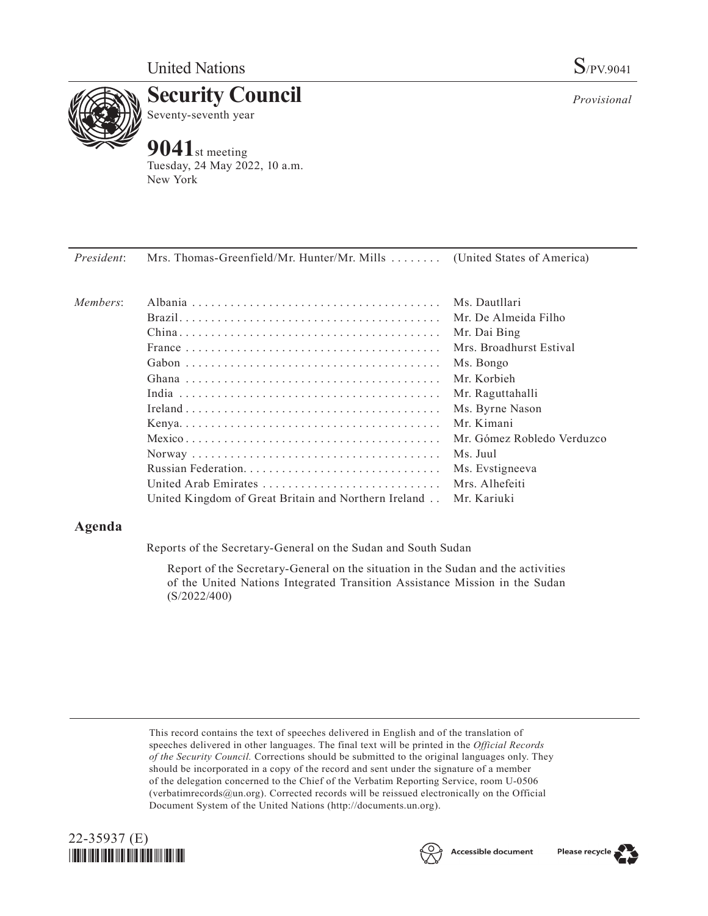

**Security Council** Seventy-seventh year

# **9041**st meeting

Tuesday, 24 May 2022, 10 a.m. New York

*President*: Mrs. Thomas-Greenfield/Mr. Hunter/Mr. Mills . . . . . . . . (United States of America)

| Members: |                                                                    | Ms. Dautllari              |
|----------|--------------------------------------------------------------------|----------------------------|
|          |                                                                    | Mr. De Almeida Filho       |
|          |                                                                    | Mr. Dai Bing               |
|          |                                                                    | Mrs. Broadhurst Estival    |
|          |                                                                    | Ms. Bongo                  |
|          |                                                                    | Mr. Korbieh                |
|          |                                                                    | Mr. Raguttahalli           |
|          |                                                                    | Ms. Byrne Nason            |
|          |                                                                    | Mr. Kimani                 |
|          |                                                                    | Mr. Gómez Robledo Verduzco |
|          |                                                                    | Ms. Juul                   |
|          |                                                                    | Ms. Evstigneeva            |
|          | United Arab Emirates                                               | Mrs. Alhefeiti             |
|          | United Kingdom of Great Britain and Northern Ireland . Mr. Kariuki |                            |
|          |                                                                    |                            |

## **Agenda**

Reports of the Secretary-General on the Sudan and South Sudan

Report of the Secretary-General on the situation in the Sudan and the activities of the United Nations Integrated Transition Assistance Mission in the Sudan (S/2022/400)

This record contains the text of speeches delivered in English and of the translation of speeches delivered in other languages. The final text will be printed in the *Official Records of the Security Council.* Corrections should be submitted to the original languages only. They should be incorporated in a copy of the record and sent under the signature of a member of the delegation concerned to the Chief of the Verbatim Reporting Service, room U-0506 (verbatimrecords@un.org). Corrected records will be reissued electronically on the Official Document System of the United Nations (http://documents.un.org).





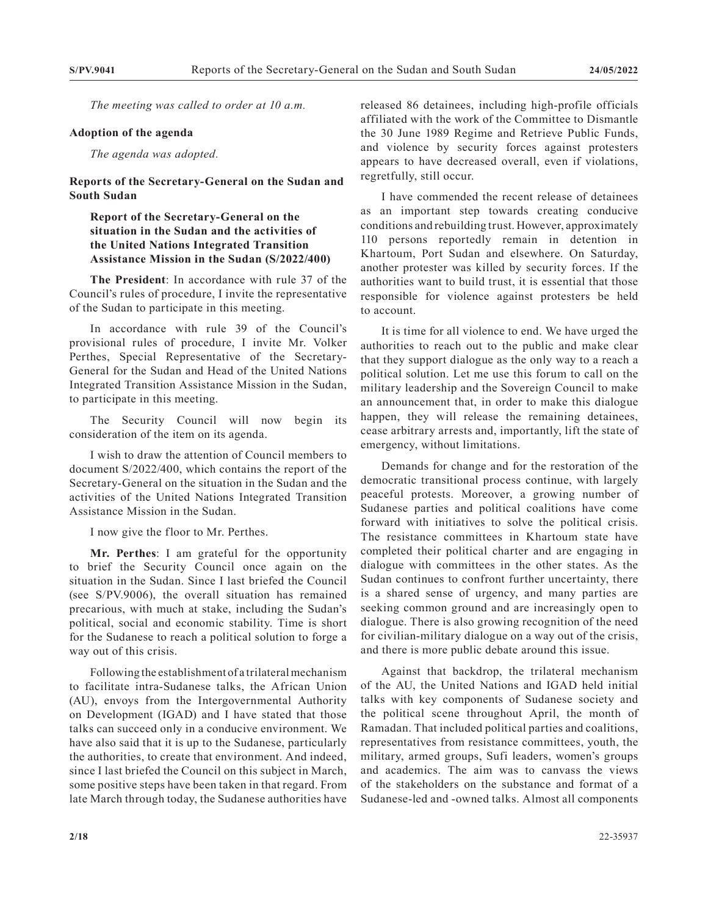*The meeting was called to order at 10 a.m.*

#### **Adoption of the agenda**

*The agenda was adopted.*

**Reports of the Secretary-General on the Sudan and South Sudan**

### **Report of the Secretary-General on the situation in the Sudan and the activities of the United Nations Integrated Transition Assistance Mission in the Sudan (S/2022/400)**

**The President**: In accordance with rule 37 of the Council's rules of procedure, I invite the representative of the Sudan to participate in this meeting.

In accordance with rule 39 of the Council's provisional rules of procedure, I invite Mr. Volker Perthes, Special Representative of the Secretary-General for the Sudan and Head of the United Nations Integrated Transition Assistance Mission in the Sudan, to participate in this meeting.

The Security Council will now begin its consideration of the item on its agenda.

I wish to draw the attention of Council members to document S/2022/400, which contains the report of the Secretary-General on the situation in the Sudan and the activities of the United Nations Integrated Transition Assistance Mission in the Sudan.

I now give the floor to Mr. Perthes.

**Mr. Perthes**: I am grateful for the opportunity to brief the Security Council once again on the situation in the Sudan. Since I last briefed the Council (see S/PV.9006), the overall situation has remained precarious, with much at stake, including the Sudan's political, social and economic stability. Time is short for the Sudanese to reach a political solution to forge a way out of this crisis.

Following the establishment of a trilateral mechanism to facilitate intra-Sudanese talks, the African Union (AU), envoys from the Intergovernmental Authority on Development (IGAD) and I have stated that those talks can succeed only in a conducive environment. We have also said that it is up to the Sudanese, particularly the authorities, to create that environment. And indeed, since I last briefed the Council on this subject in March, some positive steps have been taken in that regard. From late March through today, the Sudanese authorities have released 86 detainees, including high-profile officials affiliated with the work of the Committee to Dismantle the 30 June 1989 Regime and Retrieve Public Funds, and violence by security forces against protesters appears to have decreased overall, even if violations, regretfully, still occur.

I have commended the recent release of detainees as an important step towards creating conducive conditions and rebuilding trust. However, approximately 110 persons reportedly remain in detention in Khartoum, Port Sudan and elsewhere. On Saturday, another protester was killed by security forces. If the authorities want to build trust, it is essential that those responsible for violence against protesters be held to account.

It is time for all violence to end. We have urged the authorities to reach out to the public and make clear that they support dialogue as the only way to a reach a political solution. Let me use this forum to call on the military leadership and the Sovereign Council to make an announcement that, in order to make this dialogue happen, they will release the remaining detainees, cease arbitrary arrests and, importantly, lift the state of emergency, without limitations.

Demands for change and for the restoration of the democratic transitional process continue, with largely peaceful protests. Moreover, a growing number of Sudanese parties and political coalitions have come forward with initiatives to solve the political crisis. The resistance committees in Khartoum state have completed their political charter and are engaging in dialogue with committees in the other states. As the Sudan continues to confront further uncertainty, there is a shared sense of urgency, and many parties are seeking common ground and are increasingly open to dialogue. There is also growing recognition of the need for civilian-military dialogue on a way out of the crisis, and there is more public debate around this issue.

Against that backdrop, the trilateral mechanism of the AU, the United Nations and IGAD held initial talks with key components of Sudanese society and the political scene throughout April, the month of Ramadan. That included political parties and coalitions, representatives from resistance committees, youth, the military, armed groups, Sufi leaders, women's groups and academics. The aim was to canvass the views of the stakeholders on the substance and format of a Sudanese-led and -owned talks. Almost all components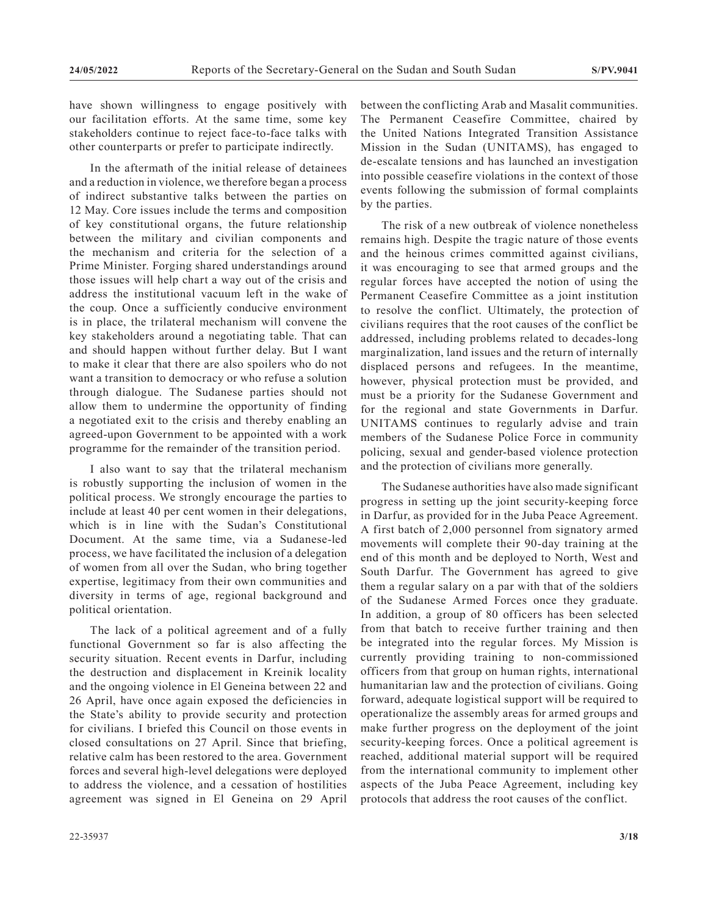have shown willingness to engage positively with our facilitation efforts. At the same time, some key stakeholders continue to reject face-to-face talks with other counterparts or prefer to participate indirectly.

In the aftermath of the initial release of detainees and a reduction in violence, we therefore began a process of indirect substantive talks between the parties on 12 May. Core issues include the terms and composition of key constitutional organs, the future relationship between the military and civilian components and the mechanism and criteria for the selection of a Prime Minister. Forging shared understandings around those issues will help chart a way out of the crisis and address the institutional vacuum left in the wake of the coup. Once a sufficiently conducive environment is in place, the trilateral mechanism will convene the key stakeholders around a negotiating table. That can and should happen without further delay. But I want to make it clear that there are also spoilers who do not want a transition to democracy or who refuse a solution through dialogue. The Sudanese parties should not allow them to undermine the opportunity of finding a negotiated exit to the crisis and thereby enabling an agreed-upon Government to be appointed with a work programme for the remainder of the transition period.

I also want to say that the trilateral mechanism is robustly supporting the inclusion of women in the political process. We strongly encourage the parties to include at least 40 per cent women in their delegations, which is in line with the Sudan's Constitutional Document. At the same time, via a Sudanese-led process, we have facilitated the inclusion of a delegation of women from all over the Sudan, who bring together expertise, legitimacy from their own communities and diversity in terms of age, regional background and political orientation.

The lack of a political agreement and of a fully functional Government so far is also affecting the security situation. Recent events in Darfur, including the destruction and displacement in Kreinik locality and the ongoing violence in El Geneina between 22 and 26 April, have once again exposed the deficiencies in the State's ability to provide security and protection for civilians. I briefed this Council on those events in closed consultations on 27 April. Since that briefing, relative calm has been restored to the area. Government forces and several high-level delegations were deployed to address the violence, and a cessation of hostilities agreement was signed in El Geneina on 29 April

between the conflicting Arab and Masalit communities. The Permanent Ceasefire Committee, chaired by the United Nations Integrated Transition Assistance Mission in the Sudan (UNITAMS), has engaged to de-escalate tensions and has launched an investigation into possible ceasefire violations in the context of those events following the submission of formal complaints by the parties.

The risk of a new outbreak of violence nonetheless remains high. Despite the tragic nature of those events and the heinous crimes committed against civilians, it was encouraging to see that armed groups and the regular forces have accepted the notion of using the Permanent Ceasefire Committee as a joint institution to resolve the conflict. Ultimately, the protection of civilians requires that the root causes of the conflict be addressed, including problems related to decades-long marginalization, land issues and the return of internally displaced persons and refugees. In the meantime, however, physical protection must be provided, and must be a priority for the Sudanese Government and for the regional and state Governments in Darfur. UNITAMS continues to regularly advise and train members of the Sudanese Police Force in community policing, sexual and gender-based violence protection and the protection of civilians more generally.

The Sudanese authorities have also made significant progress in setting up the joint security-keeping force in Darfur, as provided for in the Juba Peace Agreement. A first batch of 2,000 personnel from signatory armed movements will complete their 90-day training at the end of this month and be deployed to North, West and South Darfur. The Government has agreed to give them a regular salary on a par with that of the soldiers of the Sudanese Armed Forces once they graduate. In addition, a group of 80 officers has been selected from that batch to receive further training and then be integrated into the regular forces. My Mission is currently providing training to non-commissioned officers from that group on human rights, international humanitarian law and the protection of civilians. Going forward, adequate logistical support will be required to operationalize the assembly areas for armed groups and make further progress on the deployment of the joint security-keeping forces. Once a political agreement is reached, additional material support will be required from the international community to implement other aspects of the Juba Peace Agreement, including key protocols that address the root causes of the conflict.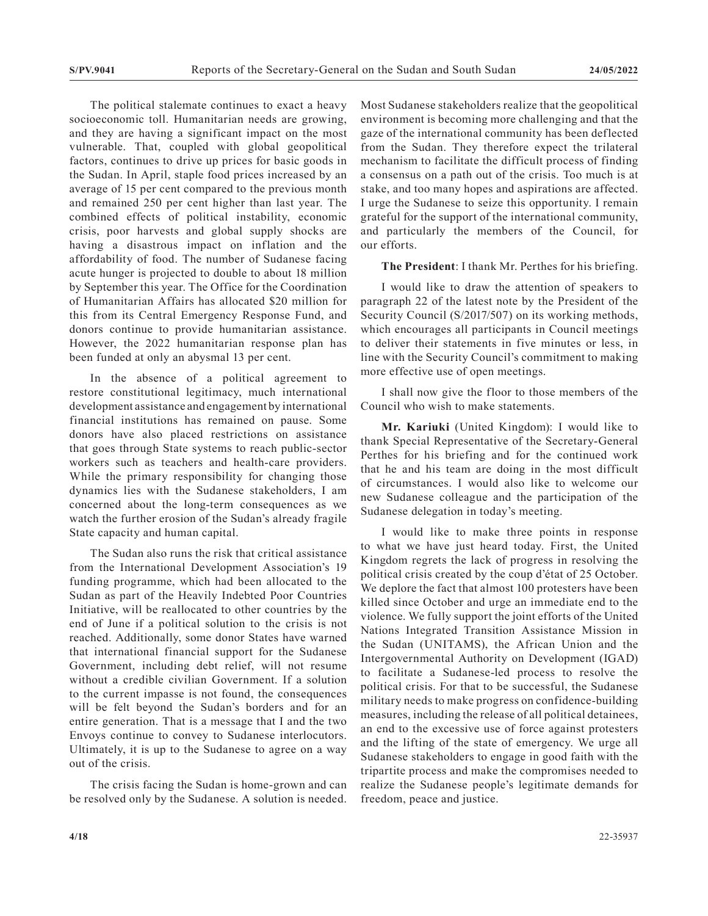The political stalemate continues to exact a heavy socioeconomic toll. Humanitarian needs are growing, and they are having a significant impact on the most vulnerable. That, coupled with global geopolitical factors, continues to drive up prices for basic goods in the Sudan. In April, staple food prices increased by an average of 15 per cent compared to the previous month and remained 250 per cent higher than last year. The combined effects of political instability, economic crisis, poor harvests and global supply shocks are having a disastrous impact on inflation and the affordability of food. The number of Sudanese facing acute hunger is projected to double to about 18 million by September this year. The Office for the Coordination of Humanitarian Affairs has allocated \$20 million for this from its Central Emergency Response Fund, and donors continue to provide humanitarian assistance. However, the 2022 humanitarian response plan has been funded at only an abysmal 13 per cent.

In the absence of a political agreement to restore constitutional legitimacy, much international development assistance and engagement by international financial institutions has remained on pause. Some donors have also placed restrictions on assistance that goes through State systems to reach public-sector workers such as teachers and health-care providers. While the primary responsibility for changing those dynamics lies with the Sudanese stakeholders, I am concerned about the long-term consequences as we watch the further erosion of the Sudan's already fragile State capacity and human capital.

The Sudan also runs the risk that critical assistance from the International Development Association's 19 funding programme, which had been allocated to the Sudan as part of the Heavily Indebted Poor Countries Initiative, will be reallocated to other countries by the end of June if a political solution to the crisis is not reached. Additionally, some donor States have warned that international financial support for the Sudanese Government, including debt relief, will not resume without a credible civilian Government. If a solution to the current impasse is not found, the consequences will be felt beyond the Sudan's borders and for an entire generation. That is a message that I and the two Envoys continue to convey to Sudanese interlocutors. Ultimately, it is up to the Sudanese to agree on a way out of the crisis.

The crisis facing the Sudan is home-grown and can be resolved only by the Sudanese. A solution is needed. Most Sudanese stakeholders realize that the geopolitical environment is becoming more challenging and that the gaze of the international community has been deflected from the Sudan. They therefore expect the trilateral mechanism to facilitate the difficult process of finding a consensus on a path out of the crisis. Too much is at stake, and too many hopes and aspirations are affected. I urge the Sudanese to seize this opportunity. I remain grateful for the support of the international community, and particularly the members of the Council, for our efforts.

#### **The President**: I thank Mr. Perthes for his briefing.

I would like to draw the attention of speakers to paragraph 22 of the latest note by the President of the Security Council (S/2017/507) on its working methods, which encourages all participants in Council meetings to deliver their statements in five minutes or less, in line with the Security Council's commitment to making more effective use of open meetings.

I shall now give the floor to those members of the Council who wish to make statements.

**Mr. Kariuki** (United Kingdom): I would like to thank Special Representative of the Secretary-General Perthes for his briefing and for the continued work that he and his team are doing in the most difficult of circumstances. I would also like to welcome our new Sudanese colleague and the participation of the Sudanese delegation in today's meeting.

I would like to make three points in response to what we have just heard today. First, the United Kingdom regrets the lack of progress in resolving the political crisis created by the coup d'état of 25 October. We deplore the fact that almost 100 protesters have been killed since October and urge an immediate end to the violence. We fully support the joint efforts of the United Nations Integrated Transition Assistance Mission in the Sudan (UNITAMS), the African Union and the Intergovernmental Authority on Development (IGAD) to facilitate a Sudanese-led process to resolve the political crisis. For that to be successful, the Sudanese military needs to make progress on confidence-building measures, including the release of all political detainees, an end to the excessive use of force against protesters and the lifting of the state of emergency. We urge all Sudanese stakeholders to engage in good faith with the tripartite process and make the compromises needed to realize the Sudanese people's legitimate demands for freedom, peace and justice.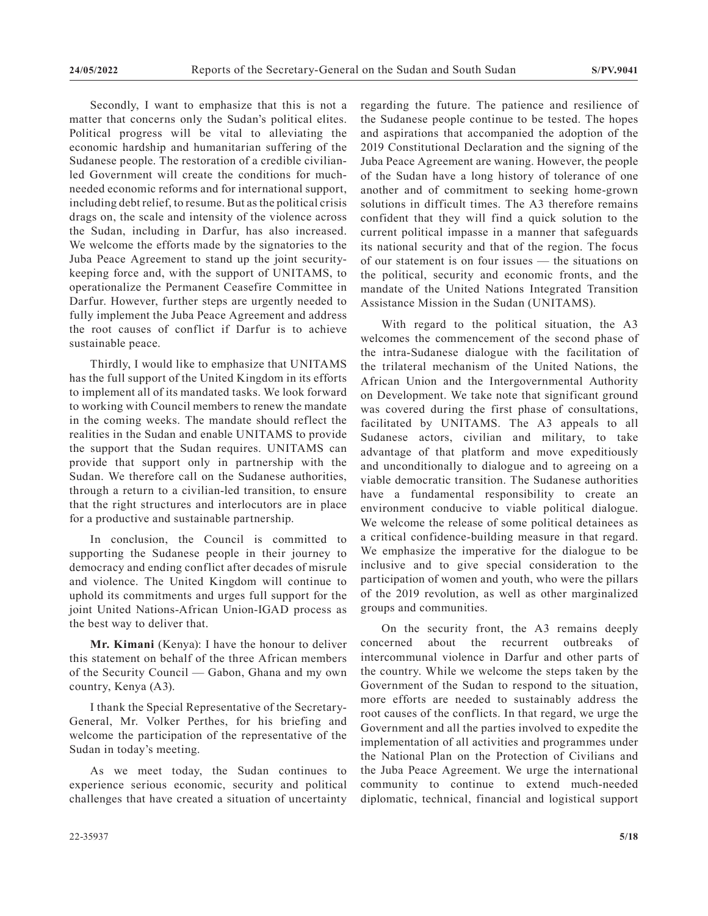Secondly, I want to emphasize that this is not a matter that concerns only the Sudan's political elites. Political progress will be vital to alleviating the economic hardship and humanitarian suffering of the Sudanese people. The restoration of a credible civilianled Government will create the conditions for muchneeded economic reforms and for international support, including debt relief, to resume. But as the political crisis drags on, the scale and intensity of the violence across the Sudan, including in Darfur, has also increased. We welcome the efforts made by the signatories to the Juba Peace Agreement to stand up the joint securitykeeping force and, with the support of UNITAMS, to operationalize the Permanent Ceasefire Committee in Darfur. However, further steps are urgently needed to fully implement the Juba Peace Agreement and address the root causes of conflict if Darfur is to achieve sustainable peace.

Thirdly, I would like to emphasize that UNITAMS has the full support of the United Kingdom in its efforts to implement all of its mandated tasks. We look forward to working with Council members to renew the mandate in the coming weeks. The mandate should reflect the realities in the Sudan and enable UNITAMS to provide the support that the Sudan requires. UNITAMS can provide that support only in partnership with the Sudan. We therefore call on the Sudanese authorities, through a return to a civilian-led transition, to ensure that the right structures and interlocutors are in place for a productive and sustainable partnership.

In conclusion, the Council is committed to supporting the Sudanese people in their journey to democracy and ending conflict after decades of misrule and violence. The United Kingdom will continue to uphold its commitments and urges full support for the joint United Nations-African Union-IGAD process as the best way to deliver that.

**Mr. Kimani** (Kenya): I have the honour to deliver this statement on behalf of the three African members of the Security Council — Gabon, Ghana and my own country, Kenya (A3).

I thank the Special Representative of the Secretary-General, Mr. Volker Perthes, for his briefing and welcome the participation of the representative of the Sudan in today's meeting.

As we meet today, the Sudan continues to experience serious economic, security and political challenges that have created a situation of uncertainty regarding the future. The patience and resilience of the Sudanese people continue to be tested. The hopes and aspirations that accompanied the adoption of the 2019 Constitutional Declaration and the signing of the Juba Peace Agreement are waning. However, the people of the Sudan have a long history of tolerance of one another and of commitment to seeking home-grown solutions in difficult times. The A3 therefore remains confident that they will find a quick solution to the current political impasse in a manner that safeguards its national security and that of the region. The focus of our statement is on four issues — the situations on the political, security and economic fronts, and the mandate of the United Nations Integrated Transition Assistance Mission in the Sudan (UNITAMS).

With regard to the political situation, the A3 welcomes the commencement of the second phase of the intra-Sudanese dialogue with the facilitation of the trilateral mechanism of the United Nations, the African Union and the Intergovernmental Authority on Development. We take note that significant ground was covered during the first phase of consultations, facilitated by UNITAMS. The A3 appeals to all Sudanese actors, civilian and military, to take advantage of that platform and move expeditiously and unconditionally to dialogue and to agreeing on a viable democratic transition. The Sudanese authorities have a fundamental responsibility to create an environment conducive to viable political dialogue. We welcome the release of some political detainees as a critical confidence-building measure in that regard. We emphasize the imperative for the dialogue to be inclusive and to give special consideration to the participation of women and youth, who were the pillars of the 2019 revolution, as well as other marginalized groups and communities.

On the security front, the A3 remains deeply concerned about the recurrent outbreaks of intercommunal violence in Darfur and other parts of the country. While we welcome the steps taken by the Government of the Sudan to respond to the situation, more efforts are needed to sustainably address the root causes of the conflicts. In that regard, we urge the Government and all the parties involved to expedite the implementation of all activities and programmes under the National Plan on the Protection of Civilians and the Juba Peace Agreement. We urge the international community to continue to extend much-needed diplomatic, technical, financial and logistical support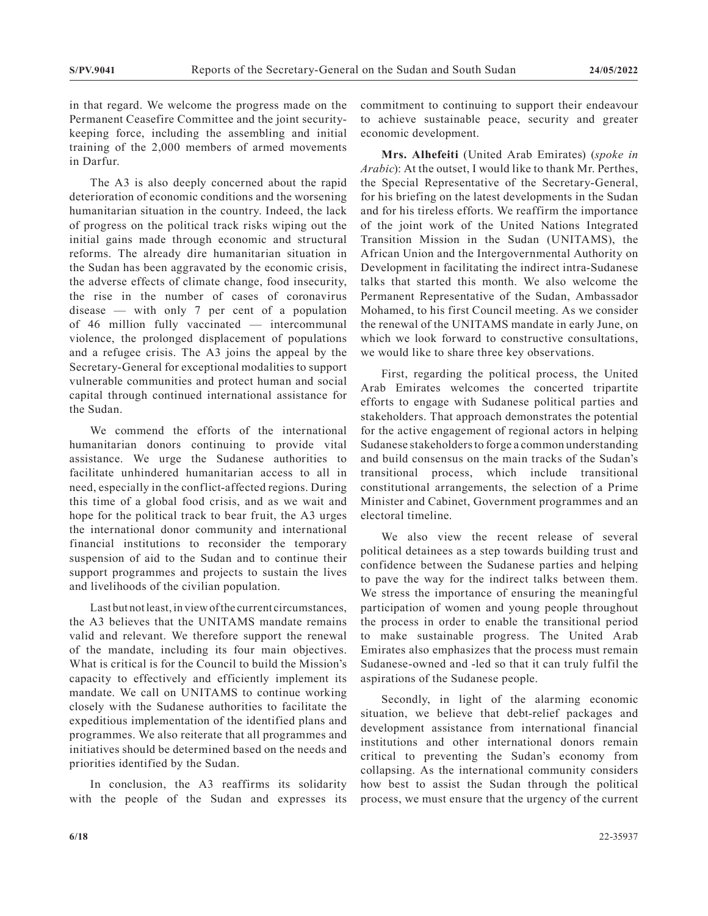in that regard. We welcome the progress made on the Permanent Ceasefire Committee and the joint securitykeeping force, including the assembling and initial training of the 2,000 members of armed movements in Darfur.

The A3 is also deeply concerned about the rapid deterioration of economic conditions and the worsening humanitarian situation in the country. Indeed, the lack of progress on the political track risks wiping out the initial gains made through economic and structural reforms. The already dire humanitarian situation in the Sudan has been aggravated by the economic crisis, the adverse effects of climate change, food insecurity, the rise in the number of cases of coronavirus disease — with only 7 per cent of a population of 46 million fully vaccinated — intercommunal violence, the prolonged displacement of populations and a refugee crisis. The A3 joins the appeal by the Secretary-General for exceptional modalities to support vulnerable communities and protect human and social capital through continued international assistance for the Sudan.

We commend the efforts of the international humanitarian donors continuing to provide vital assistance. We urge the Sudanese authorities to facilitate unhindered humanitarian access to all in need, especially in the conflict-affected regions. During this time of a global food crisis, and as we wait and hope for the political track to bear fruit, the A3 urges the international donor community and international financial institutions to reconsider the temporary suspension of aid to the Sudan and to continue their support programmes and projects to sustain the lives and livelihoods of the civilian population.

Last but not least, in view of the current circumstances, the A3 believes that the UNITAMS mandate remains valid and relevant. We therefore support the renewal of the mandate, including its four main objectives. What is critical is for the Council to build the Mission's capacity to effectively and efficiently implement its mandate. We call on UNITAMS to continue working closely with the Sudanese authorities to facilitate the expeditious implementation of the identified plans and programmes. We also reiterate that all programmes and initiatives should be determined based on the needs and priorities identified by the Sudan.

In conclusion, the A3 reaffirms its solidarity with the people of the Sudan and expresses its commitment to continuing to support their endeavour to achieve sustainable peace, security and greater economic development.

**Mrs. Alhefeiti** (United Arab Emirates) (*spoke in Arabic*): At the outset, I would like to thank Mr. Perthes, the Special Representative of the Secretary-General, for his briefing on the latest developments in the Sudan and for his tireless efforts. We reaffirm the importance of the joint work of the United Nations Integrated Transition Mission in the Sudan (UNITAMS), the African Union and the Intergovernmental Authority on Development in facilitating the indirect intra-Sudanese talks that started this month. We also welcome the Permanent Representative of the Sudan, Ambassador Mohamed, to his first Council meeting. As we consider the renewal of the UNITAMS mandate in early June, on which we look forward to constructive consultations, we would like to share three key observations.

First, regarding the political process, the United Arab Emirates welcomes the concerted tripartite efforts to engage with Sudanese political parties and stakeholders. That approach demonstrates the potential for the active engagement of regional actors in helping Sudanese stakeholders to forge a common understanding and build consensus on the main tracks of the Sudan's transitional process, which include transitional constitutional arrangements, the selection of a Prime Minister and Cabinet, Government programmes and an electoral timeline.

We also view the recent release of several political detainees as a step towards building trust and confidence between the Sudanese parties and helping to pave the way for the indirect talks between them. We stress the importance of ensuring the meaningful participation of women and young people throughout the process in order to enable the transitional period to make sustainable progress. The United Arab Emirates also emphasizes that the process must remain Sudanese-owned and -led so that it can truly fulfil the aspirations of the Sudanese people.

Secondly, in light of the alarming economic situation, we believe that debt-relief packages and development assistance from international financial institutions and other international donors remain critical to preventing the Sudan's economy from collapsing. As the international community considers how best to assist the Sudan through the political process, we must ensure that the urgency of the current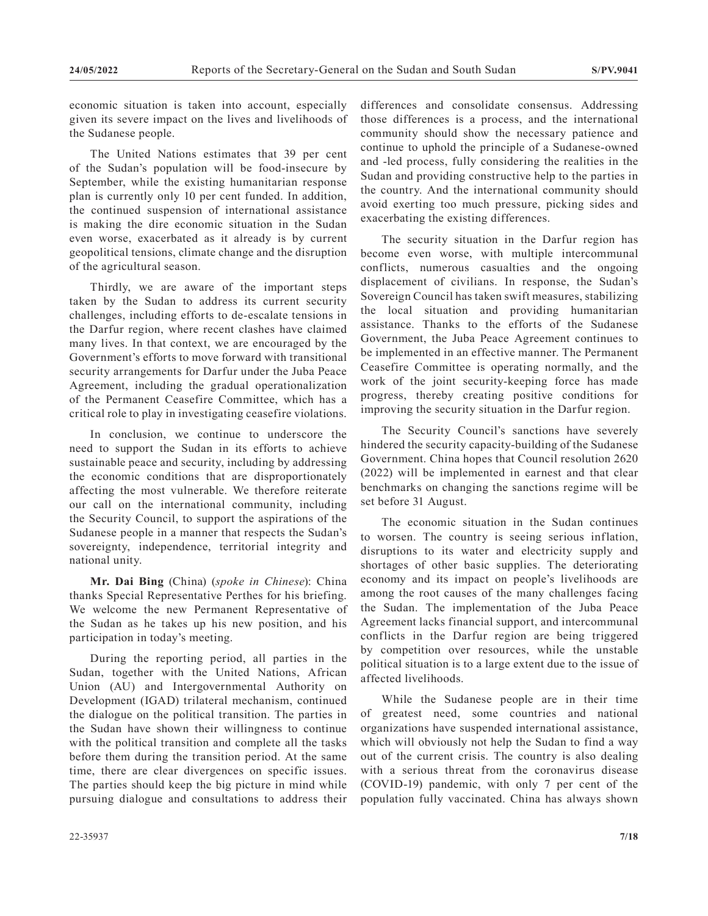economic situation is taken into account, especially given its severe impact on the lives and livelihoods of the Sudanese people.

The United Nations estimates that 39 per cent of the Sudan's population will be food-insecure by September, while the existing humanitarian response plan is currently only 10 per cent funded. In addition, the continued suspension of international assistance is making the dire economic situation in the Sudan even worse, exacerbated as it already is by current geopolitical tensions, climate change and the disruption of the agricultural season.

Thirdly, we are aware of the important steps taken by the Sudan to address its current security challenges, including efforts to de-escalate tensions in the Darfur region, where recent clashes have claimed many lives. In that context, we are encouraged by the Government's efforts to move forward with transitional security arrangements for Darfur under the Juba Peace Agreement, including the gradual operationalization of the Permanent Ceasefire Committee, which has a critical role to play in investigating ceasefire violations.

In conclusion, we continue to underscore the need to support the Sudan in its efforts to achieve sustainable peace and security, including by addressing the economic conditions that are disproportionately affecting the most vulnerable. We therefore reiterate our call on the international community, including the Security Council, to support the aspirations of the Sudanese people in a manner that respects the Sudan's sovereignty, independence, territorial integrity and national unity.

**Mr. Dai Bing** (China) (*spoke in Chinese*): China thanks Special Representative Perthes for his briefing. We welcome the new Permanent Representative of the Sudan as he takes up his new position, and his participation in today's meeting.

During the reporting period, all parties in the Sudan, together with the United Nations, African Union (AU) and Intergovernmental Authority on Development (IGAD) trilateral mechanism, continued the dialogue on the political transition. The parties in the Sudan have shown their willingness to continue with the political transition and complete all the tasks before them during the transition period. At the same time, there are clear divergences on specific issues. The parties should keep the big picture in mind while pursuing dialogue and consultations to address their differences and consolidate consensus. Addressing those differences is a process, and the international community should show the necessary patience and continue to uphold the principle of a Sudanese-owned and -led process, fully considering the realities in the Sudan and providing constructive help to the parties in the country. And the international community should avoid exerting too much pressure, picking sides and exacerbating the existing differences.

The security situation in the Darfur region has become even worse, with multiple intercommunal conflicts, numerous casualties and the ongoing displacement of civilians. In response, the Sudan's Sovereign Council has taken swift measures, stabilizing the local situation and providing humanitarian assistance. Thanks to the efforts of the Sudanese Government, the Juba Peace Agreement continues to be implemented in an effective manner. The Permanent Ceasefire Committee is operating normally, and the work of the joint security-keeping force has made progress, thereby creating positive conditions for improving the security situation in the Darfur region.

The Security Council's sanctions have severely hindered the security capacity-building of the Sudanese Government. China hopes that Council resolution 2620 (2022) will be implemented in earnest and that clear benchmarks on changing the sanctions regime will be set before 31 August.

The economic situation in the Sudan continues to worsen. The country is seeing serious inflation, disruptions to its water and electricity supply and shortages of other basic supplies. The deteriorating economy and its impact on people's livelihoods are among the root causes of the many challenges facing the Sudan. The implementation of the Juba Peace Agreement lacks financial support, and intercommunal conflicts in the Darfur region are being triggered by competition over resources, while the unstable political situation is to a large extent due to the issue of affected livelihoods.

While the Sudanese people are in their time of greatest need, some countries and national organizations have suspended international assistance, which will obviously not help the Sudan to find a way out of the current crisis. The country is also dealing with a serious threat from the coronavirus disease (COVID-19) pandemic, with only 7 per cent of the population fully vaccinated. China has always shown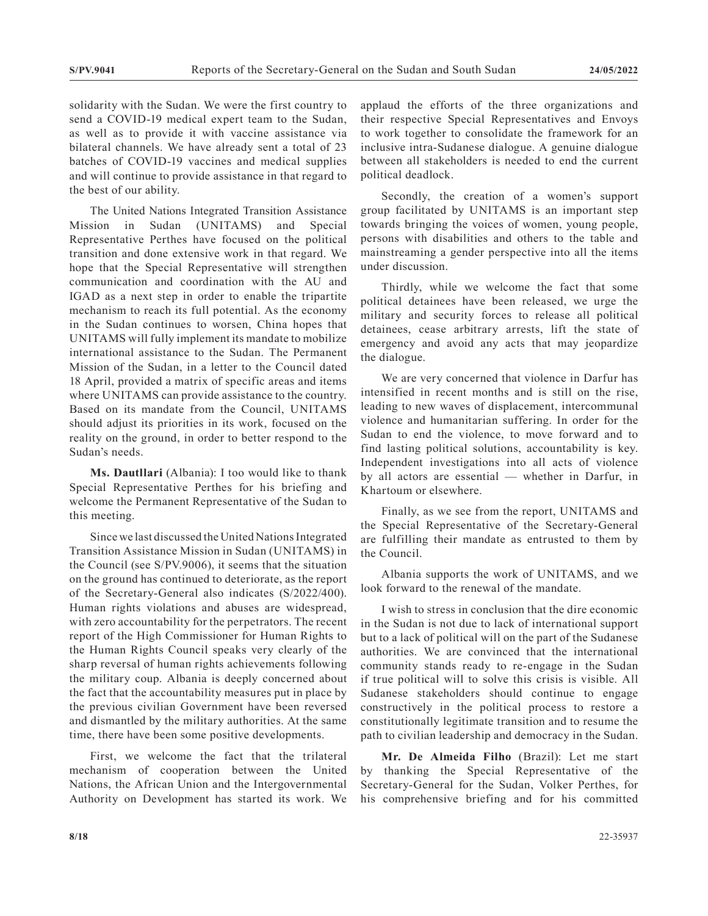solidarity with the Sudan. We were the first country to send a COVID-19 medical expert team to the Sudan, as well as to provide it with vaccine assistance via bilateral channels. We have already sent a total of 23 batches of COVID-19 vaccines and medical supplies and will continue to provide assistance in that regard to the best of our ability.

The United Nations Integrated Transition Assistance Mission in Sudan (UNITAMS) and Special Representative Perthes have focused on the political transition and done extensive work in that regard. We hope that the Special Representative will strengthen communication and coordination with the AU and IGAD as a next step in order to enable the tripartite mechanism to reach its full potential. As the economy in the Sudan continues to worsen, China hopes that UNITAMS will fully implement its mandate to mobilize international assistance to the Sudan. The Permanent Mission of the Sudan, in a letter to the Council dated 18 April, provided a matrix of specific areas and items where UNITAMS can provide assistance to the country. Based on its mandate from the Council, UNITAMS should adjust its priorities in its work, focused on the reality on the ground, in order to better respond to the Sudan's needs.

**Ms. Dautllari** (Albania): I too would like to thank Special Representative Perthes for his briefing and welcome the Permanent Representative of the Sudan to this meeting.

Since we last discussed the United Nations Integrated Transition Assistance Mission in Sudan (UNITAMS) in the Council (see S/PV.9006), it seems that the situation on the ground has continued to deteriorate, as the report of the Secretary-General also indicates (S/2022/400). Human rights violations and abuses are widespread, with zero accountability for the perpetrators. The recent report of the High Commissioner for Human Rights to the Human Rights Council speaks very clearly of the sharp reversal of human rights achievements following the military coup. Albania is deeply concerned about the fact that the accountability measures put in place by the previous civilian Government have been reversed and dismantled by the military authorities. At the same time, there have been some positive developments.

First, we welcome the fact that the trilateral mechanism of cooperation between the United Nations, the African Union and the Intergovernmental Authority on Development has started its work. We

applaud the efforts of the three organizations and their respective Special Representatives and Envoys to work together to consolidate the framework for an inclusive intra-Sudanese dialogue. A genuine dialogue between all stakeholders is needed to end the current political deadlock.

Secondly, the creation of a women's support group facilitated by UNITAMS is an important step towards bringing the voices of women, young people, persons with disabilities and others to the table and mainstreaming a gender perspective into all the items under discussion.

Thirdly, while we welcome the fact that some political detainees have been released, we urge the military and security forces to release all political detainees, cease arbitrary arrests, lift the state of emergency and avoid any acts that may jeopardize the dialogue.

We are very concerned that violence in Darfur has intensified in recent months and is still on the rise, leading to new waves of displacement, intercommunal violence and humanitarian suffering. In order for the Sudan to end the violence, to move forward and to find lasting political solutions, accountability is key. Independent investigations into all acts of violence by all actors are essential — whether in Darfur, in Khartoum or elsewhere.

Finally, as we see from the report, UNITAMS and the Special Representative of the Secretary-General are fulfilling their mandate as entrusted to them by the Council.

Albania supports the work of UNITAMS, and we look forward to the renewal of the mandate.

I wish to stress in conclusion that the dire economic in the Sudan is not due to lack of international support but to a lack of political will on the part of the Sudanese authorities. We are convinced that the international community stands ready to re-engage in the Sudan if true political will to solve this crisis is visible. All Sudanese stakeholders should continue to engage constructively in the political process to restore a constitutionally legitimate transition and to resume the path to civilian leadership and democracy in the Sudan.

**Mr. De Almeida Filho** (Brazil): Let me start by thanking the Special Representative of the Secretary-General for the Sudan, Volker Perthes, for his comprehensive briefing and for his committed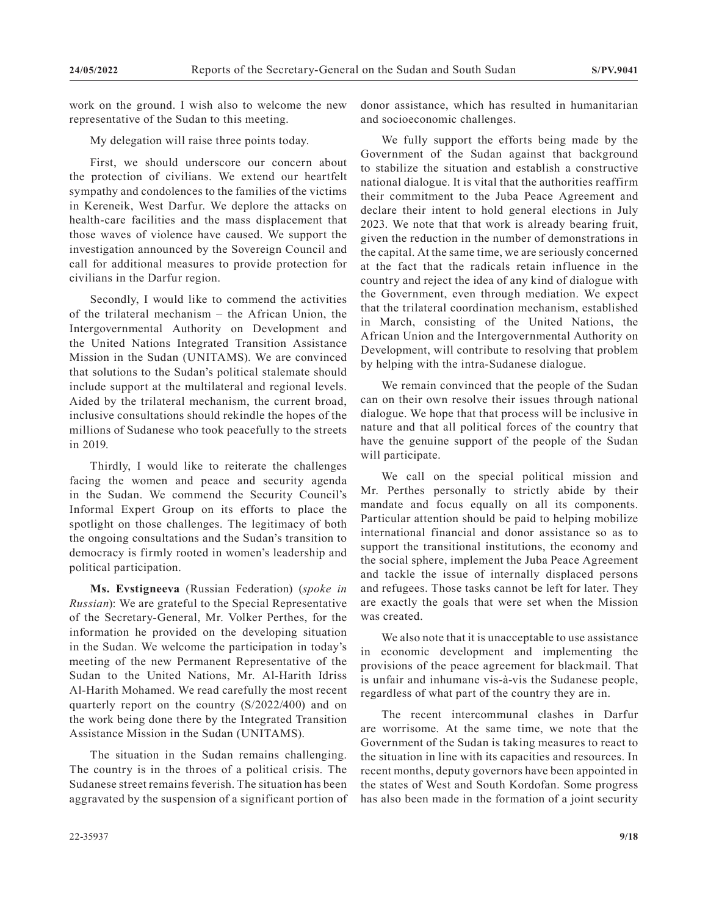work on the ground. I wish also to welcome the new representative of the Sudan to this meeting.

My delegation will raise three points today.

First, we should underscore our concern about the protection of civilians. We extend our heartfelt sympathy and condolences to the families of the victims in Kereneik, West Darfur. We deplore the attacks on health-care facilities and the mass displacement that those waves of violence have caused. We support the investigation announced by the Sovereign Council and call for additional measures to provide protection for civilians in the Darfur region.

Secondly, I would like to commend the activities of the trilateral mechanism – the African Union, the Intergovernmental Authority on Development and the United Nations Integrated Transition Assistance Mission in the Sudan (UNITAMS). We are convinced that solutions to the Sudan's political stalemate should include support at the multilateral and regional levels. Aided by the trilateral mechanism, the current broad, inclusive consultations should rekindle the hopes of the millions of Sudanese who took peacefully to the streets in 2019.

Thirdly, I would like to reiterate the challenges facing the women and peace and security agenda in the Sudan. We commend the Security Council's Informal Expert Group on its efforts to place the spotlight on those challenges. The legitimacy of both the ongoing consultations and the Sudan's transition to democracy is firmly rooted in women's leadership and political participation.

**Ms. Evstigneeva** (Russian Federation) (*spoke in Russian*): We are grateful to the Special Representative of the Secretary-General, Mr. Volker Perthes, for the information he provided on the developing situation in the Sudan. We welcome the participation in today's meeting of the new Permanent Representative of the Sudan to the United Nations, Mr. Al-Harith Idriss Al-Harith Mohamed. We read carefully the most recent quarterly report on the country (S/2022/400) and on the work being done there by the Integrated Transition Assistance Mission in the Sudan (UNITAMS).

The situation in the Sudan remains challenging. The country is in the throes of a political crisis. The Sudanese street remains feverish. The situation has been aggravated by the suspension of a significant portion of donor assistance, which has resulted in humanitarian and socioeconomic challenges.

We fully support the efforts being made by the Government of the Sudan against that background to stabilize the situation and establish a constructive national dialogue. It is vital that the authorities reaffirm their commitment to the Juba Peace Agreement and declare their intent to hold general elections in July 2023. We note that that work is already bearing fruit, given the reduction in the number of demonstrations in the capital. At the same time, we are seriously concerned at the fact that the radicals retain influence in the country and reject the idea of any kind of dialogue with the Government, even through mediation. We expect that the trilateral coordination mechanism, established in March, consisting of the United Nations, the African Union and the Intergovernmental Authority on Development, will contribute to resolving that problem by helping with the intra-Sudanese dialogue.

We remain convinced that the people of the Sudan can on their own resolve their issues through national dialogue. We hope that that process will be inclusive in nature and that all political forces of the country that have the genuine support of the people of the Sudan will participate.

We call on the special political mission and Mr. Perthes personally to strictly abide by their mandate and focus equally on all its components. Particular attention should be paid to helping mobilize international financial and donor assistance so as to support the transitional institutions, the economy and the social sphere, implement the Juba Peace Agreement and tackle the issue of internally displaced persons and refugees. Those tasks cannot be left for later. They are exactly the goals that were set when the Mission was created.

We also note that it is unacceptable to use assistance in economic development and implementing the provisions of the peace agreement for blackmail. That is unfair and inhumane vis-à-vis the Sudanese people, regardless of what part of the country they are in.

The recent intercommunal clashes in Darfur are worrisome. At the same time, we note that the Government of the Sudan is taking measures to react to the situation in line with its capacities and resources. In recent months, deputy governors have been appointed in the states of West and South Kordofan. Some progress has also been made in the formation of a joint security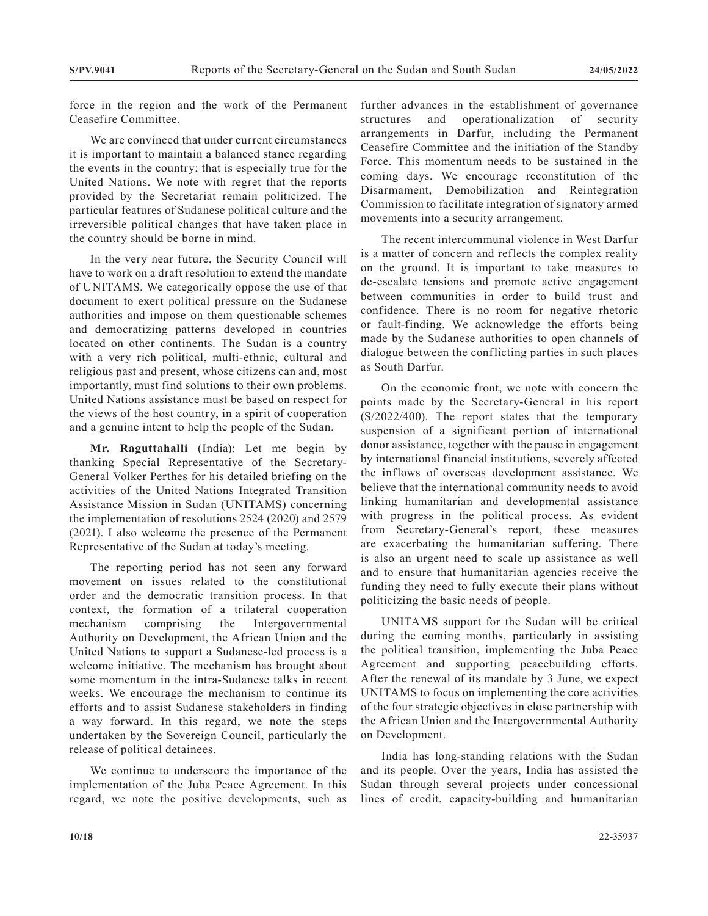force in the region and the work of the Permanent Ceasefire Committee.

We are convinced that under current circumstances it is important to maintain a balanced stance regarding the events in the country; that is especially true for the United Nations. We note with regret that the reports provided by the Secretariat remain politicized. The particular features of Sudanese political culture and the irreversible political changes that have taken place in the country should be borne in mind.

In the very near future, the Security Council will have to work on a draft resolution to extend the mandate of UNITAMS. We categorically oppose the use of that document to exert political pressure on the Sudanese authorities and impose on them questionable schemes and democratizing patterns developed in countries located on other continents. The Sudan is a country with a very rich political, multi-ethnic, cultural and religious past and present, whose citizens can and, most importantly, must find solutions to their own problems. United Nations assistance must be based on respect for the views of the host country, in a spirit of cooperation and a genuine intent to help the people of the Sudan.

**Mr. Raguttahalli** (India): Let me begin by thanking Special Representative of the Secretary-General Volker Perthes for his detailed briefing on the activities of the United Nations Integrated Transition Assistance Mission in Sudan (UNITAMS) concerning the implementation of resolutions 2524 (2020) and 2579 (2021). I also welcome the presence of the Permanent Representative of the Sudan at today's meeting.

The reporting period has not seen any forward movement on issues related to the constitutional order and the democratic transition process. In that context, the formation of a trilateral cooperation mechanism comprising the Intergovernmental Authority on Development, the African Union and the United Nations to support a Sudanese-led process is a welcome initiative. The mechanism has brought about some momentum in the intra-Sudanese talks in recent weeks. We encourage the mechanism to continue its efforts and to assist Sudanese stakeholders in finding a way forward. In this regard, we note the steps undertaken by the Sovereign Council, particularly the release of political detainees.

We continue to underscore the importance of the implementation of the Juba Peace Agreement. In this regard, we note the positive developments, such as further advances in the establishment of governance structures and operationalization of security arrangements in Darfur, including the Permanent Ceasefire Committee and the initiation of the Standby Force. This momentum needs to be sustained in the coming days. We encourage reconstitution of the Disarmament, Demobilization and Reintegration Commission to facilitate integration of signatory armed movements into a security arrangement.

The recent intercommunal violence in West Darfur is a matter of concern and reflects the complex reality on the ground. It is important to take measures to de-escalate tensions and promote active engagement between communities in order to build trust and confidence. There is no room for negative rhetoric or fault-finding. We acknowledge the efforts being made by the Sudanese authorities to open channels of dialogue between the conflicting parties in such places as South Darfur.

On the economic front, we note with concern the points made by the Secretary-General in his report (S/2022/400). The report states that the temporary suspension of a significant portion of international donor assistance, together with the pause in engagement by international financial institutions, severely affected the inflows of overseas development assistance. We believe that the international community needs to avoid linking humanitarian and developmental assistance with progress in the political process. As evident from Secretary-General's report, these measures are exacerbating the humanitarian suffering. There is also an urgent need to scale up assistance as well and to ensure that humanitarian agencies receive the funding they need to fully execute their plans without politicizing the basic needs of people.

UNITAMS support for the Sudan will be critical during the coming months, particularly in assisting the political transition, implementing the Juba Peace Agreement and supporting peacebuilding efforts. After the renewal of its mandate by 3 June, we expect UNITAMS to focus on implementing the core activities of the four strategic objectives in close partnership with the African Union and the Intergovernmental Authority on Development.

India has long-standing relations with the Sudan and its people. Over the years, India has assisted the Sudan through several projects under concessional lines of credit, capacity-building and humanitarian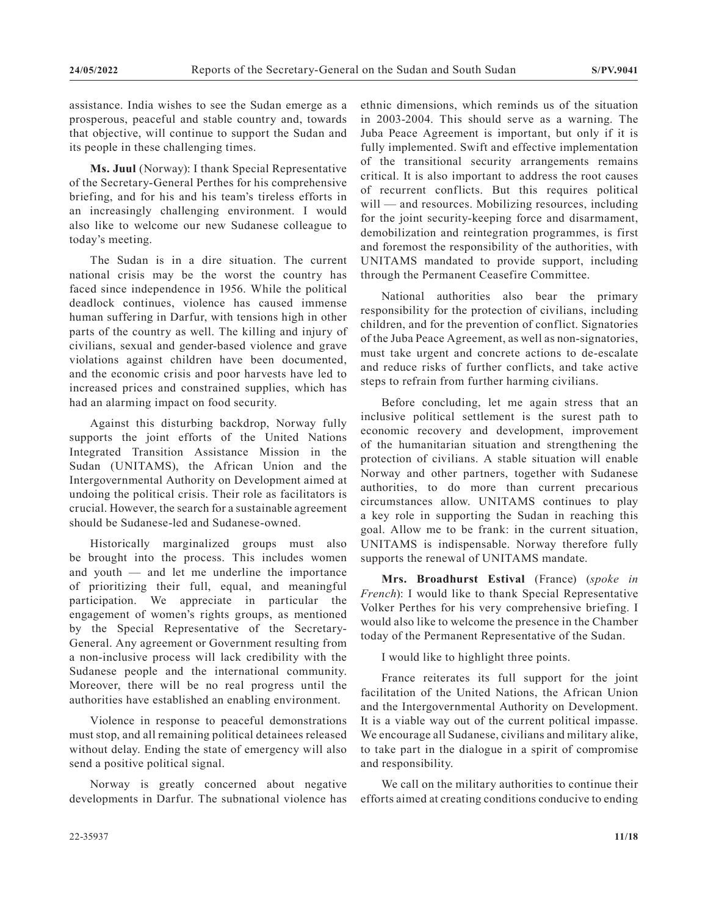assistance. India wishes to see the Sudan emerge as a prosperous, peaceful and stable country and, towards that objective, will continue to support the Sudan and its people in these challenging times.

**Ms. Juul** (Norway): I thank Special Representative of the Secretary-General Perthes for his comprehensive briefing, and for his and his team's tireless efforts in an increasingly challenging environment. I would also like to welcome our new Sudanese colleague to today's meeting.

The Sudan is in a dire situation. The current national crisis may be the worst the country has faced since independence in 1956. While the political deadlock continues, violence has caused immense human suffering in Darfur, with tensions high in other parts of the country as well. The killing and injury of civilians, sexual and gender-based violence and grave violations against children have been documented, and the economic crisis and poor harvests have led to increased prices and constrained supplies, which has had an alarming impact on food security.

Against this disturbing backdrop, Norway fully supports the joint efforts of the United Nations Integrated Transition Assistance Mission in the Sudan (UNITAMS), the African Union and the Intergovernmental Authority on Development aimed at undoing the political crisis. Their role as facilitators is crucial. However, the search for a sustainable agreement should be Sudanese-led and Sudanese-owned.

Historically marginalized groups must also be brought into the process. This includes women and youth — and let me underline the importance of prioritizing their full, equal, and meaningful participation. We appreciate in particular the engagement of women's rights groups, as mentioned by the Special Representative of the Secretary-General. Any agreement or Government resulting from a non-inclusive process will lack credibility with the Sudanese people and the international community. Moreover, there will be no real progress until the authorities have established an enabling environment.

Violence in response to peaceful demonstrations must stop, and all remaining political detainees released without delay. Ending the state of emergency will also send a positive political signal.

Norway is greatly concerned about negative developments in Darfur. The subnational violence has ethnic dimensions, which reminds us of the situation in 2003-2004. This should serve as a warning. The Juba Peace Agreement is important, but only if it is fully implemented. Swift and effective implementation of the transitional security arrangements remains critical. It is also important to address the root causes of recurrent conflicts. But this requires political will — and resources. Mobilizing resources, including for the joint security-keeping force and disarmament, demobilization and reintegration programmes, is first and foremost the responsibility of the authorities, with UNITAMS mandated to provide support, including through the Permanent Ceasefire Committee.

National authorities also bear the primary responsibility for the protection of civilians, including children, and for the prevention of conflict. Signatories of the Juba Peace Agreement, as well as non-signatories, must take urgent and concrete actions to de-escalate and reduce risks of further conflicts, and take active steps to refrain from further harming civilians.

Before concluding, let me again stress that an inclusive political settlement is the surest path to economic recovery and development, improvement of the humanitarian situation and strengthening the protection of civilians. A stable situation will enable Norway and other partners, together with Sudanese authorities, to do more than current precarious circumstances allow. UNITAMS continues to play a key role in supporting the Sudan in reaching this goal. Allow me to be frank: in the current situation, UNITAMS is indispensable. Norway therefore fully supports the renewal of UNITAMS mandate.

**Mrs. Broadhurst Estival** (France) (*spoke in French*): I would like to thank Special Representative Volker Perthes for his very comprehensive briefing. I would also like to welcome the presence in the Chamber today of the Permanent Representative of the Sudan.

I would like to highlight three points.

France reiterates its full support for the joint facilitation of the United Nations, the African Union and the Intergovernmental Authority on Development. It is a viable way out of the current political impasse. We encourage all Sudanese, civilians and military alike, to take part in the dialogue in a spirit of compromise and responsibility.

We call on the military authorities to continue their efforts aimed at creating conditions conducive to ending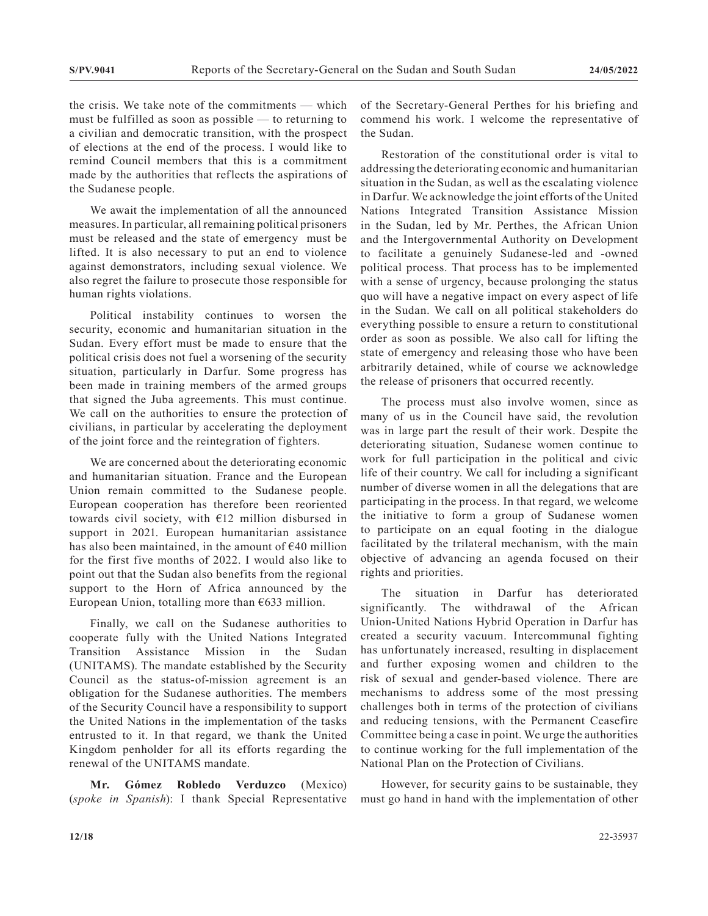the crisis. We take note of the commitments — which must be fulfilled as soon as possible — to returning to a civilian and democratic transition, with the prospect of elections at the end of the process. I would like to remind Council members that this is a commitment made by the authorities that reflects the aspirations of the Sudanese people.

We await the implementation of all the announced measures. In particular, all remaining political prisoners must be released and the state of emergency must be lifted. It is also necessary to put an end to violence against demonstrators, including sexual violence. We also regret the failure to prosecute those responsible for human rights violations.

Political instability continues to worsen the security, economic and humanitarian situation in the Sudan. Every effort must be made to ensure that the political crisis does not fuel a worsening of the security situation, particularly in Darfur. Some progress has been made in training members of the armed groups that signed the Juba agreements. This must continue. We call on the authorities to ensure the protection of civilians, in particular by accelerating the deployment of the joint force and the reintegration of fighters.

We are concerned about the deteriorating economic and humanitarian situation. France and the European Union remain committed to the Sudanese people. European cooperation has therefore been reoriented towards civil society, with  $E12$  million disbursed in support in 2021. European humanitarian assistance has also been maintained, in the amount of  $E$ 40 million for the first five months of 2022. I would also like to point out that the Sudan also benefits from the regional support to the Horn of Africa announced by the European Union, totalling more than  $€633$  million.

Finally, we call on the Sudanese authorities to cooperate fully with the United Nations Integrated Transition Assistance Mission in the Sudan (UNITAMS). The mandate established by the Security Council as the status-of-mission agreement is an obligation for the Sudanese authorities. The members of the Security Council have a responsibility to support the United Nations in the implementation of the tasks entrusted to it. In that regard, we thank the United Kingdom penholder for all its efforts regarding the renewal of the UNITAMS mandate.

**Mr. Gómez Robledo Verduzco** (Mexico) (*spoke in Spanish*): I thank Special Representative of the Secretary-General Perthes for his briefing and commend his work. I welcome the representative of the Sudan.

Restoration of the constitutional order is vital to addressing the deteriorating economic and humanitarian situation in the Sudan, as well as the escalating violence in Darfur. We acknowledge the joint efforts of the United Nations Integrated Transition Assistance Mission in the Sudan, led by Mr. Perthes, the African Union and the Intergovernmental Authority on Development to facilitate a genuinely Sudanese-led and -owned political process. That process has to be implemented with a sense of urgency, because prolonging the status quo will have a negative impact on every aspect of life in the Sudan. We call on all political stakeholders do everything possible to ensure a return to constitutional order as soon as possible. We also call for lifting the state of emergency and releasing those who have been arbitrarily detained, while of course we acknowledge the release of prisoners that occurred recently.

The process must also involve women, since as many of us in the Council have said, the revolution was in large part the result of their work. Despite the deteriorating situation, Sudanese women continue to work for full participation in the political and civic life of their country. We call for including a significant number of diverse women in all the delegations that are participating in the process. In that regard, we welcome the initiative to form a group of Sudanese women to participate on an equal footing in the dialogue facilitated by the trilateral mechanism, with the main objective of advancing an agenda focused on their rights and priorities.

The situation in Darfur has deteriorated significantly. The withdrawal of the African Union-United Nations Hybrid Operation in Darfur has created a security vacuum. Intercommunal fighting has unfortunately increased, resulting in displacement and further exposing women and children to the risk of sexual and gender-based violence. There are mechanisms to address some of the most pressing challenges both in terms of the protection of civilians and reducing tensions, with the Permanent Ceasefire Committee being a case in point. We urge the authorities to continue working for the full implementation of the National Plan on the Protection of Civilians.

However, for security gains to be sustainable, they must go hand in hand with the implementation of other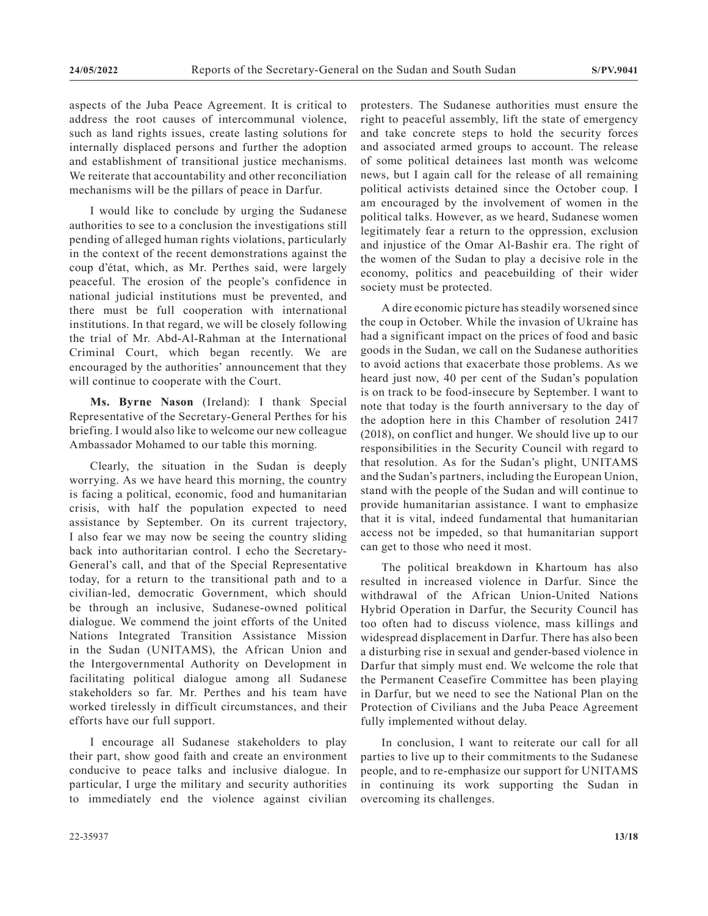aspects of the Juba Peace Agreement. It is critical to address the root causes of intercommunal violence, such as land rights issues, create lasting solutions for internally displaced persons and further the adoption and establishment of transitional justice mechanisms. We reiterate that accountability and other reconciliation mechanisms will be the pillars of peace in Darfur.

I would like to conclude by urging the Sudanese authorities to see to a conclusion the investigations still pending of alleged human rights violations, particularly in the context of the recent demonstrations against the coup d'état, which, as Mr. Perthes said, were largely peaceful. The erosion of the people's confidence in national judicial institutions must be prevented, and there must be full cooperation with international institutions. In that regard, we will be closely following the trial of Mr. Abd-Al-Rahman at the International Criminal Court, which began recently. We are encouraged by the authorities' announcement that they will continue to cooperate with the Court.

**Ms. Byrne Nason** (Ireland): I thank Special Representative of the Secretary-General Perthes for his briefing. I would also like to welcome our new colleague Ambassador Mohamed to our table this morning.

Clearly, the situation in the Sudan is deeply worrying. As we have heard this morning, the country is facing a political, economic, food and humanitarian crisis, with half the population expected to need assistance by September. On its current trajectory, I also fear we may now be seeing the country sliding back into authoritarian control. I echo the Secretary-General's call, and that of the Special Representative today, for a return to the transitional path and to a civilian-led, democratic Government, which should be through an inclusive, Sudanese-owned political dialogue. We commend the joint efforts of the United Nations Integrated Transition Assistance Mission in the Sudan (UNITAMS), the African Union and the Intergovernmental Authority on Development in facilitating political dialogue among all Sudanese stakeholders so far. Mr. Perthes and his team have worked tirelessly in difficult circumstances, and their efforts have our full support.

I encourage all Sudanese stakeholders to play their part, show good faith and create an environment conducive to peace talks and inclusive dialogue. In particular, I urge the military and security authorities to immediately end the violence against civilian

protesters. The Sudanese authorities must ensure the right to peaceful assembly, lift the state of emergency and take concrete steps to hold the security forces and associated armed groups to account. The release of some political detainees last month was welcome news, but I again call for the release of all remaining political activists detained since the October coup. I am encouraged by the involvement of women in the political talks. However, as we heard, Sudanese women legitimately fear a return to the oppression, exclusion and injustice of the Omar Al-Bashir era. The right of the women of the Sudan to play a decisive role in the economy, politics and peacebuilding of their wider society must be protected.

A dire economic picture has steadily worsened since the coup in October. While the invasion of Ukraine has had a significant impact on the prices of food and basic goods in the Sudan, we call on the Sudanese authorities to avoid actions that exacerbate those problems. As we heard just now, 40 per cent of the Sudan's population is on track to be food-insecure by September. I want to note that today is the fourth anniversary to the day of the adoption here in this Chamber of resolution 2417 (2018), on conflict and hunger. We should live up to our responsibilities in the Security Council with regard to that resolution. As for the Sudan's plight, UNITAMS and the Sudan's partners, including the European Union, stand with the people of the Sudan and will continue to provide humanitarian assistance. I want to emphasize that it is vital, indeed fundamental that humanitarian access not be impeded, so that humanitarian support can get to those who need it most.

The political breakdown in Khartoum has also resulted in increased violence in Darfur. Since the withdrawal of the African Union-United Nations Hybrid Operation in Darfur, the Security Council has too often had to discuss violence, mass killings and widespread displacement in Darfur. There has also been a disturbing rise in sexual and gender-based violence in Darfur that simply must end. We welcome the role that the Permanent Ceasefire Committee has been playing in Darfur, but we need to see the National Plan on the Protection of Civilians and the Juba Peace Agreement fully implemented without delay.

In conclusion, I want to reiterate our call for all parties to live up to their commitments to the Sudanese people, and to re-emphasize our support for UNITAMS in continuing its work supporting the Sudan in overcoming its challenges.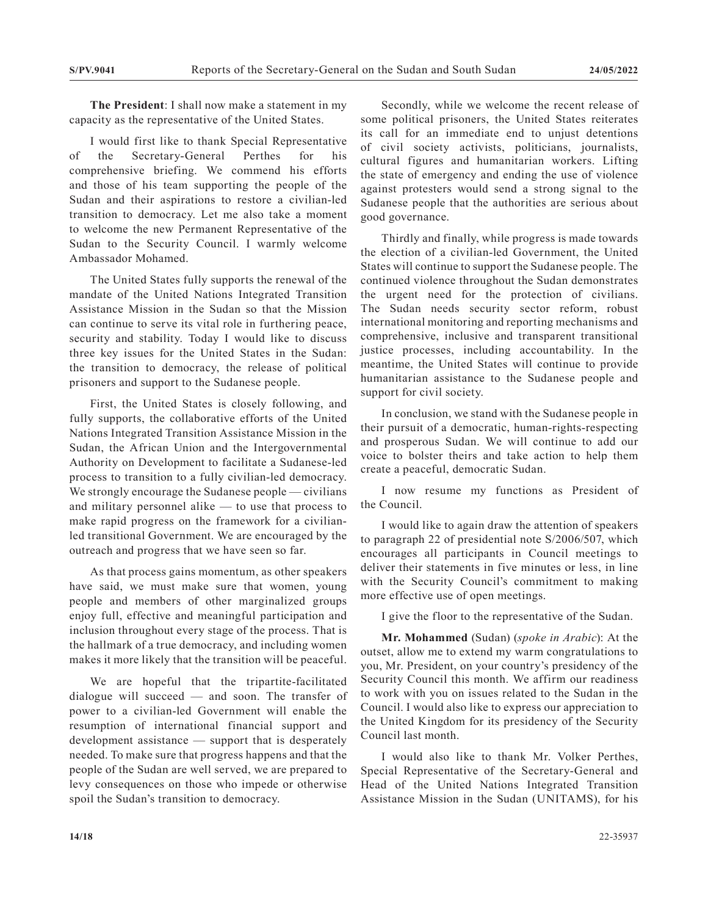**The President**: I shall now make a statement in my capacity as the representative of the United States.

I would first like to thank Special Representative of the Secretary-General Perthes for his comprehensive briefing. We commend his efforts and those of his team supporting the people of the Sudan and their aspirations to restore a civilian-led transition to democracy. Let me also take a moment to welcome the new Permanent Representative of the Sudan to the Security Council. I warmly welcome Ambassador Mohamed.

The United States fully supports the renewal of the mandate of the United Nations Integrated Transition Assistance Mission in the Sudan so that the Mission can continue to serve its vital role in furthering peace, security and stability. Today I would like to discuss three key issues for the United States in the Sudan: the transition to democracy, the release of political prisoners and support to the Sudanese people.

First, the United States is closely following, and fully supports, the collaborative efforts of the United Nations Integrated Transition Assistance Mission in the Sudan, the African Union and the Intergovernmental Authority on Development to facilitate a Sudanese-led process to transition to a fully civilian-led democracy. We strongly encourage the Sudanese people — civilians and military personnel alike — to use that process to make rapid progress on the framework for a civilianled transitional Government. We are encouraged by the outreach and progress that we have seen so far.

As that process gains momentum, as other speakers have said, we must make sure that women, young people and members of other marginalized groups enjoy full, effective and meaningful participation and inclusion throughout every stage of the process. That is the hallmark of a true democracy, and including women makes it more likely that the transition will be peaceful.

We are hopeful that the tripartite-facilitated dialogue will succeed — and soon. The transfer of power to a civilian-led Government will enable the resumption of international financial support and development assistance — support that is desperately needed. To make sure that progress happens and that the people of the Sudan are well served, we are prepared to levy consequences on those who impede or otherwise spoil the Sudan's transition to democracy.

Secondly, while we welcome the recent release of some political prisoners, the United States reiterates its call for an immediate end to unjust detentions of civil society activists, politicians, journalists, cultural figures and humanitarian workers. Lifting the state of emergency and ending the use of violence against protesters would send a strong signal to the Sudanese people that the authorities are serious about good governance.

Thirdly and finally, while progress is made towards the election of a civilian-led Government, the United States will continue to support the Sudanese people. The continued violence throughout the Sudan demonstrates the urgent need for the protection of civilians. The Sudan needs security sector reform, robust international monitoring and reporting mechanisms and comprehensive, inclusive and transparent transitional justice processes, including accountability. In the meantime, the United States will continue to provide humanitarian assistance to the Sudanese people and support for civil society.

In conclusion, we stand with the Sudanese people in their pursuit of a democratic, human-rights-respecting and prosperous Sudan. We will continue to add our voice to bolster theirs and take action to help them create a peaceful, democratic Sudan.

I now resume my functions as President of the Council.

I would like to again draw the attention of speakers to paragraph 22 of presidential note S/2006/507, which encourages all participants in Council meetings to deliver their statements in five minutes or less, in line with the Security Council's commitment to making more effective use of open meetings.

I give the floor to the representative of the Sudan.

**Mr. Mohammed** (Sudan) (*spoke in Arabic*): At the outset, allow me to extend my warm congratulations to you, Mr. President, on your country's presidency of the Security Council this month. We affirm our readiness to work with you on issues related to the Sudan in the Council. I would also like to express our appreciation to the United Kingdom for its presidency of the Security Council last month.

I would also like to thank Mr. Volker Perthes, Special Representative of the Secretary-General and Head of the United Nations Integrated Transition Assistance Mission in the Sudan (UNITAMS), for his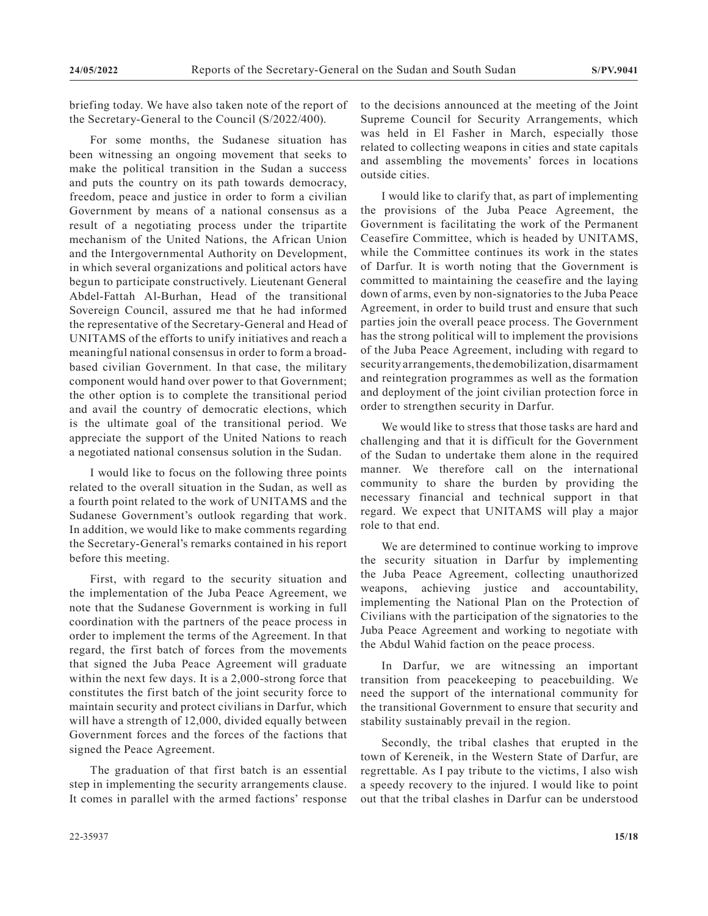briefing today. We have also taken note of the report of the Secretary-General to the Council (S/2022/400).

For some months, the Sudanese situation has been witnessing an ongoing movement that seeks to make the political transition in the Sudan a success and puts the country on its path towards democracy, freedom, peace and justice in order to form a civilian Government by means of a national consensus as a result of a negotiating process under the tripartite mechanism of the United Nations, the African Union and the Intergovernmental Authority on Development, in which several organizations and political actors have begun to participate constructively. Lieutenant General Abdel-Fattah Al-Burhan, Head of the transitional Sovereign Council, assured me that he had informed the representative of the Secretary-General and Head of UNITAMS of the efforts to unify initiatives and reach a meaningful national consensus in order to form a broadbased civilian Government. In that case, the military component would hand over power to that Government; the other option is to complete the transitional period and avail the country of democratic elections, which is the ultimate goal of the transitional period. We appreciate the support of the United Nations to reach a negotiated national consensus solution in the Sudan.

I would like to focus on the following three points related to the overall situation in the Sudan, as well as a fourth point related to the work of UNITAMS and the Sudanese Government's outlook regarding that work. In addition, we would like to make comments regarding the Secretary-General's remarks contained in his report before this meeting.

First, with regard to the security situation and the implementation of the Juba Peace Agreement, we note that the Sudanese Government is working in full coordination with the partners of the peace process in order to implement the terms of the Agreement. In that regard, the first batch of forces from the movements that signed the Juba Peace Agreement will graduate within the next few days. It is a 2,000-strong force that constitutes the first batch of the joint security force to maintain security and protect civilians in Darfur, which will have a strength of 12,000, divided equally between Government forces and the forces of the factions that signed the Peace Agreement.

The graduation of that first batch is an essential step in implementing the security arrangements clause. It comes in parallel with the armed factions' response to the decisions announced at the meeting of the Joint Supreme Council for Security Arrangements, which was held in El Fasher in March, especially those related to collecting weapons in cities and state capitals and assembling the movements' forces in locations outside cities.

I would like to clarify that, as part of implementing the provisions of the Juba Peace Agreement, the Government is facilitating the work of the Permanent Ceasefire Committee, which is headed by UNITAMS, while the Committee continues its work in the states of Darfur. It is worth noting that the Government is committed to maintaining the ceasefire and the laying down of arms, even by non-signatories to the Juba Peace Agreement, in order to build trust and ensure that such parties join the overall peace process. The Government has the strong political will to implement the provisions of the Juba Peace Agreement, including with regard to security arrangements, the demobilization, disarmament and reintegration programmes as well as the formation and deployment of the joint civilian protection force in order to strengthen security in Darfur.

We would like to stress that those tasks are hard and challenging and that it is difficult for the Government of the Sudan to undertake them alone in the required manner. We therefore call on the international community to share the burden by providing the necessary financial and technical support in that regard. We expect that UNITAMS will play a major role to that end.

We are determined to continue working to improve the security situation in Darfur by implementing the Juba Peace Agreement, collecting unauthorized weapons, achieving justice and accountability, implementing the National Plan on the Protection of Civilians with the participation of the signatories to the Juba Peace Agreement and working to negotiate with the Abdul Wahid faction on the peace process.

In Darfur, we are witnessing an important transition from peacekeeping to peacebuilding. We need the support of the international community for the transitional Government to ensure that security and stability sustainably prevail in the region.

Secondly, the tribal clashes that erupted in the town of Kereneik, in the Western State of Darfur, are regrettable. As I pay tribute to the victims, I also wish a speedy recovery to the injured. I would like to point out that the tribal clashes in Darfur can be understood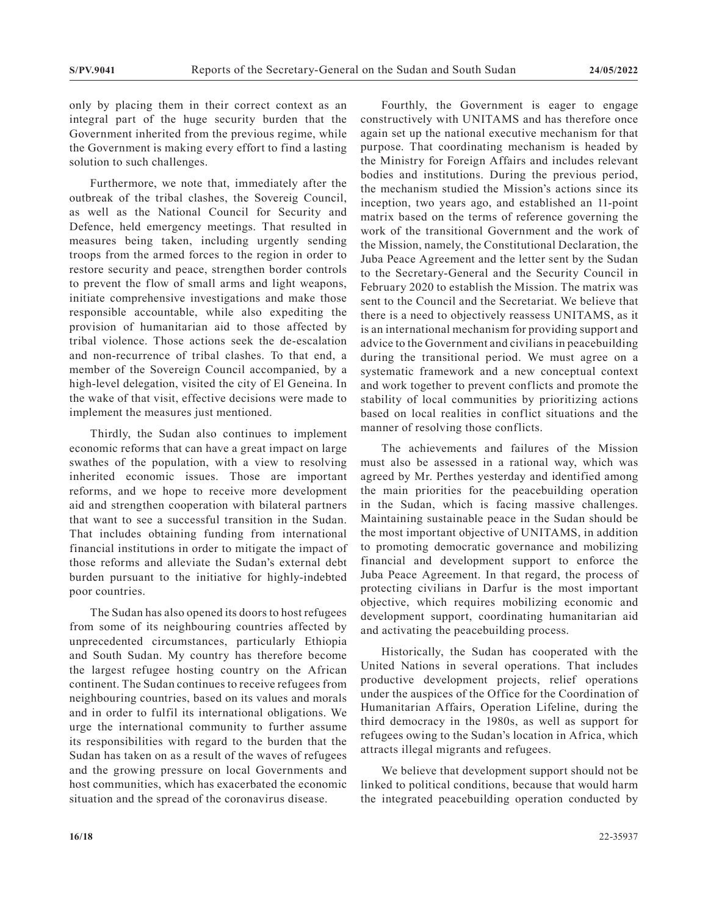only by placing them in their correct context as an integral part of the huge security burden that the Government inherited from the previous regime, while the Government is making every effort to find a lasting solution to such challenges.

Furthermore, we note that, immediately after the outbreak of the tribal clashes, the Sovereig Council, as well as the National Council for Security and Defence, held emergency meetings. That resulted in measures being taken, including urgently sending troops from the armed forces to the region in order to restore security and peace, strengthen border controls to prevent the flow of small arms and light weapons, initiate comprehensive investigations and make those responsible accountable, while also expediting the provision of humanitarian aid to those affected by tribal violence. Those actions seek the de-escalation and non-recurrence of tribal clashes. To that end, a member of the Sovereign Council accompanied, by a high-level delegation, visited the city of El Geneina. In the wake of that visit, effective decisions were made to implement the measures just mentioned.

Thirdly, the Sudan also continues to implement economic reforms that can have a great impact on large swathes of the population, with a view to resolving inherited economic issues. Those are important reforms, and we hope to receive more development aid and strengthen cooperation with bilateral partners that want to see a successful transition in the Sudan. That includes obtaining funding from international financial institutions in order to mitigate the impact of those reforms and alleviate the Sudan's external debt burden pursuant to the initiative for highly-indebted poor countries.

The Sudan has also opened its doors to host refugees from some of its neighbouring countries affected by unprecedented circumstances, particularly Ethiopia and South Sudan. My country has therefore become the largest refugee hosting country on the African continent. The Sudan continues to receive refugees from neighbouring countries, based on its values and morals and in order to fulfil its international obligations. We urge the international community to further assume its responsibilities with regard to the burden that the Sudan has taken on as a result of the waves of refugees and the growing pressure on local Governments and host communities, which has exacerbated the economic situation and the spread of the coronavirus disease.

Fourthly, the Government is eager to engage constructively with UNITAMS and has therefore once again set up the national executive mechanism for that purpose. That coordinating mechanism is headed by the Ministry for Foreign Affairs and includes relevant bodies and institutions. During the previous period, the mechanism studied the Mission's actions since its inception, two years ago, and established an 11-point matrix based on the terms of reference governing the work of the transitional Government and the work of the Mission, namely, the Constitutional Declaration, the Juba Peace Agreement and the letter sent by the Sudan to the Secretary-General and the Security Council in February 2020 to establish the Mission. The matrix was sent to the Council and the Secretariat. We believe that there is a need to objectively reassess UNITAMS, as it is an international mechanism for providing support and advice to the Government and civilians in peacebuilding during the transitional period. We must agree on a systematic framework and a new conceptual context and work together to prevent conflicts and promote the stability of local communities by prioritizing actions based on local realities in conflict situations and the manner of resolving those conflicts.

The achievements and failures of the Mission must also be assessed in a rational way, which was agreed by Mr. Perthes yesterday and identified among the main priorities for the peacebuilding operation in the Sudan, which is facing massive challenges. Maintaining sustainable peace in the Sudan should be the most important objective of UNITAMS, in addition to promoting democratic governance and mobilizing financial and development support to enforce the Juba Peace Agreement. In that regard, the process of protecting civilians in Darfur is the most important objective, which requires mobilizing economic and development support, coordinating humanitarian aid and activating the peacebuilding process.

Historically, the Sudan has cooperated with the United Nations in several operations. That includes productive development projects, relief operations under the auspices of the Office for the Coordination of Humanitarian Affairs, Operation Lifeline, during the third democracy in the 1980s, as well as support for refugees owing to the Sudan's location in Africa, which attracts illegal migrants and refugees.

We believe that development support should not be linked to political conditions, because that would harm the integrated peacebuilding operation conducted by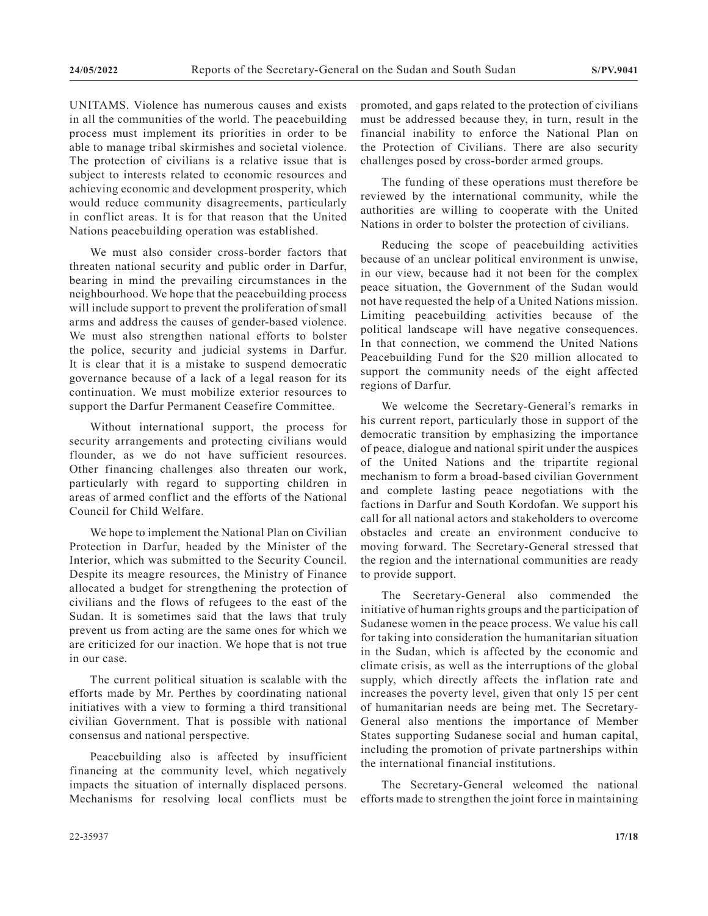UNITAMS. Violence has numerous causes and exists in all the communities of the world. The peacebuilding process must implement its priorities in order to be able to manage tribal skirmishes and societal violence. The protection of civilians is a relative issue that is subject to interests related to economic resources and achieving economic and development prosperity, which would reduce community disagreements, particularly in conflict areas. It is for that reason that the United Nations peacebuilding operation was established.

We must also consider cross-border factors that threaten national security and public order in Darfur, bearing in mind the prevailing circumstances in the neighbourhood. We hope that the peacebuilding process will include support to prevent the proliferation of small arms and address the causes of gender-based violence. We must also strengthen national efforts to bolster the police, security and judicial systems in Darfur. It is clear that it is a mistake to suspend democratic governance because of a lack of a legal reason for its continuation. We must mobilize exterior resources to support the Darfur Permanent Ceasefire Committee.

Without international support, the process for security arrangements and protecting civilians would flounder, as we do not have sufficient resources. Other financing challenges also threaten our work, particularly with regard to supporting children in areas of armed conflict and the efforts of the National Council for Child Welfare.

We hope to implement the National Plan on Civilian Protection in Darfur, headed by the Minister of the Interior, which was submitted to the Security Council. Despite its meagre resources, the Ministry of Finance allocated a budget for strengthening the protection of civilians and the flows of refugees to the east of the Sudan. It is sometimes said that the laws that truly prevent us from acting are the same ones for which we are criticized for our inaction. We hope that is not true in our case.

The current political situation is scalable with the efforts made by Mr. Perthes by coordinating national initiatives with a view to forming a third transitional civilian Government. That is possible with national consensus and national perspective.

Peacebuilding also is affected by insufficient financing at the community level, which negatively impacts the situation of internally displaced persons. Mechanisms for resolving local conflicts must be

promoted, and gaps related to the protection of civilians must be addressed because they, in turn, result in the financial inability to enforce the National Plan on the Protection of Civilians. There are also security challenges posed by cross-border armed groups.

The funding of these operations must therefore be reviewed by the international community, while the authorities are willing to cooperate with the United Nations in order to bolster the protection of civilians.

Reducing the scope of peacebuilding activities because of an unclear political environment is unwise, in our view, because had it not been for the complex peace situation, the Government of the Sudan would not have requested the help of a United Nations mission. Limiting peacebuilding activities because of the political landscape will have negative consequences. In that connection, we commend the United Nations Peacebuilding Fund for the \$20 million allocated to support the community needs of the eight affected regions of Darfur.

We welcome the Secretary-General's remarks in his current report, particularly those in support of the democratic transition by emphasizing the importance of peace, dialogue and national spirit under the auspices of the United Nations and the tripartite regional mechanism to form a broad-based civilian Government and complete lasting peace negotiations with the factions in Darfur and South Kordofan. We support his call for all national actors and stakeholders to overcome obstacles and create an environment conducive to moving forward. The Secretary-General stressed that the region and the international communities are ready to provide support.

The Secretary-General also commended the initiative of human rights groups and the participation of Sudanese women in the peace process. We value his call for taking into consideration the humanitarian situation in the Sudan, which is affected by the economic and climate crisis, as well as the interruptions of the global supply, which directly affects the inflation rate and increases the poverty level, given that only 15 per cent of humanitarian needs are being met. The Secretary-General also mentions the importance of Member States supporting Sudanese social and human capital, including the promotion of private partnerships within the international financial institutions.

The Secretary-General welcomed the national efforts made to strengthen the joint force in maintaining